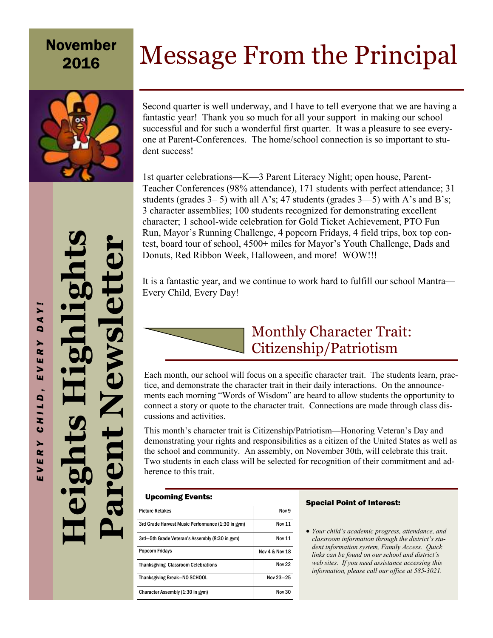### Message From the Principal November 2016



Second quarter is well underway, and I have to tell everyone that we are having a fantastic year! Thank you so much for all your support in making our school successful and for such a wonderful first quarter. It was a pleasure to see everyone at Parent-Conferences. The home/school connection is so important to student success!

1st quarter celebrations—K—3 Parent Literacy Night; open house, Parent-Teacher Conferences (98% attendance), 171 students with perfect attendance; 31 students (grades  $3-5$ ) with all A's; 47 students (grades  $3-5$ ) with A's and B's; 3 character assemblies; 100 students recognized for demonstrating excellent character; 1 school-wide celebration for Gold Ticket Achievement, PTO Fun Run, Mayor's Running Challenge, 4 popcorn Fridays, 4 field trips, box top contest, board tour of school, 4500+ miles for Mayor's Youth Challenge, Dads and Donuts, Red Ribbon Week, Halloween, and more! WOW!!!

It is a fantastic year, and we continue to work hard to fulfill our school Mantra— Every Child, Every Day!

> Monthly Character Trait: Citizenship/Patriotism

Each month, our school will focus on a specific character trait. The students learn, practice, and demonstrate the character trait in their daily interactions. On the announcements each morning "Words of Wisdom" are heard to allow students the opportunity to connect a story or quote to the character trait. Connections are made through class discussions and activities.

This month's character trait is Citizenship/Patriotism—Honoring Veteran's Day and demonstrating your rights and responsibilities as a citizen of the United States as well as the school and community. An assembly, on November 30th, will celebrate this trait. Two students in each class will be selected for recognition of their commitment and adherence to this trait.

#### Upcoming Events:

| <b>Picture Retakes</b>                            | Nov 9          |
|---------------------------------------------------|----------------|
| 3rd Grade Harvest Music Performance (1:30 in gym) | <b>Nov 11</b>  |
| 3rd-5th Grade Veteran's Assembly (8:30 in gym)    | <b>Nov 11</b>  |
| <b>Popcorn Fridays</b>                            | Nov 4 & Nov 18 |
| <b>Thanksgiving Classroom Celebrations</b>        | Nov 22         |
| Thanksgiving Break-NO SCHOOL                      | Nov 23-25      |
| Character Assembly (1:30 in gym)                  | Nov 30         |

#### Special Point of Interest:

• *Your child's academic progress, attendance, and classroom information through the district's student information system, Family Access. Quick links can be found on our school and district's web sites. If you need assistance accessing this information, please call our office at 585-3021.* 

**Heights Highlights** 

**Parent Newsletter**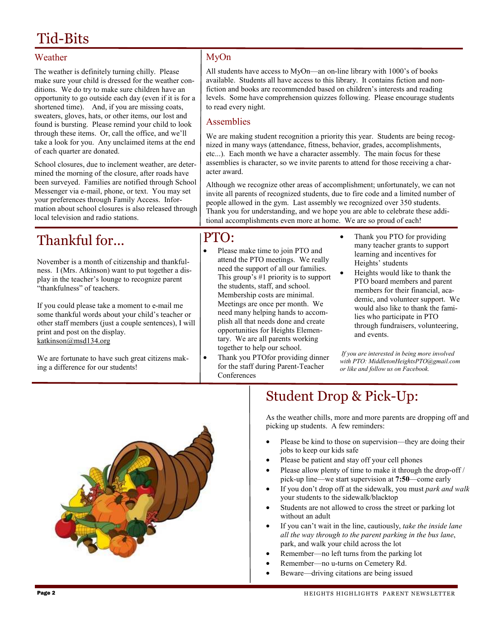# Tid-Bits

#### Weather

The weather is definitely turning chilly. Please make sure your child is dressed for the weather conditions. We do try to make sure children have an opportunity to go outside each day (even if it is for a shortened time). And, if you are missing coats, sweaters, gloves, hats, or other items, our lost and found is bursting. Please remind your child to look through these items. Or, call the office, and we'll take a look for you. Any unclaimed items at the end of each quarter are donated.

School closures, due to inclement weather, are determined the morning of the closure, after roads have been surveyed. Families are notified through School Messenger via e-mail, phone, or text. You may set your preferences through Family Access. Information about school closures is also released through local television and radio stations.

## Thankful for...

November is a month of citizenship and thankfulness. I (Mrs. Atkinson) want to put together a display in the teacher's lounge to recognize parent "thankfulness" of teachers.

If you could please take a moment to e-mail me some thankful words about your child's teacher or other staff members (just a couple sentences), I will print and post on the display. katkinson@msd134.org

We are fortunate to have such great citizens making a difference for our students!

#### MyOn

All students have access to MyOn—an on-line library with 1000's of books available. Students all have access to this library. It contains fiction and nonfiction and books are recommended based on children's interests and reading levels. Some have comprehension quizzes following. Please encourage students to read every night.

#### Assemblies

We are making student recognition a priority this year. Students are being recognized in many ways (attendance, fitness, behavior, grades, accomplishments, etc...). Each month we have a character assembly. The main focus for these assemblies is character, so we invite parents to attend for those receiving a character award.

Although we recognize other areas of accomplishment; unfortunately, we can not invite all parents of recognized students, due to fire code and a limited number of people allowed in the gym. Last assembly we recognized over 350 students. Thank you for understanding, and we hope you are able to celebrate these additional accomplishments even more at home. We are so proud of each!

### PTO:

- Please make time to join PTO and attend the PTO meetings. We really need the support of all our families. This group's #1 priority is to support the students, staff, and school. Membership costs are minimal. Meetings are once per month. We need many helping hands to accomplish all that needs done and create opportunities for Heights Elementary. We are all parents working together to help our school.
- Thank you PTOfor providing dinner for the staff during Parent-Teacher Conferences
- Thank you PTO for providing many teacher grants to support learning and incentives for Heights' students
- Heights would like to thank the PTO board members and parent members for their financial, academic, and volunteer support. We would also like to thank the families who participate in PTO through fundraisers, volunteering, and events.

 *If you are interested in being more involved with PTO: MiddletonHeightsPTO@gmail.com or like and follow us on Facebook.* 



# Student Drop & Pick-Up:

As the weather chills, more and more parents are dropping off and picking up students. A few reminders:

- Please be kind to those on supervision—they are doing their jobs to keep our kids safe
- Please be patient and stay off your cell phones
- Please allow plenty of time to make it through the drop-off / pick-up line—we start supervision at **7:50**—come early
- If you don't drop off at the sidewalk, you must *park and walk* your students to the sidewalk/blacktop
- Students are not allowed to cross the street or parking lot without an adult
- If you can't wait in the line, cautiously, *take the inside lane all the way through to the parent parking in the bus lane*, park, and walk your child across the lot
- Remember—no left turns from the parking lot
- Remember—no u-turns on Cemetery Rd.
- Beware—driving citations are being issued